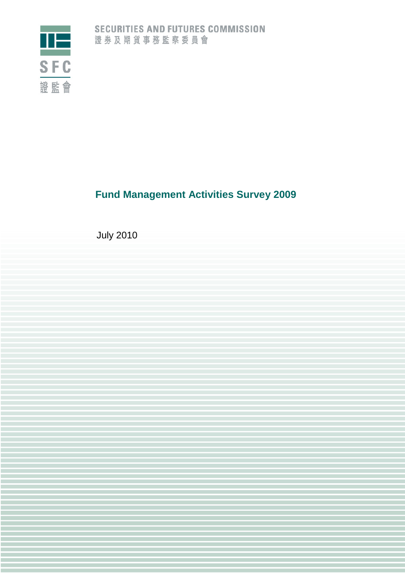

# **Fund Management Activities Survey 2009**

July 2010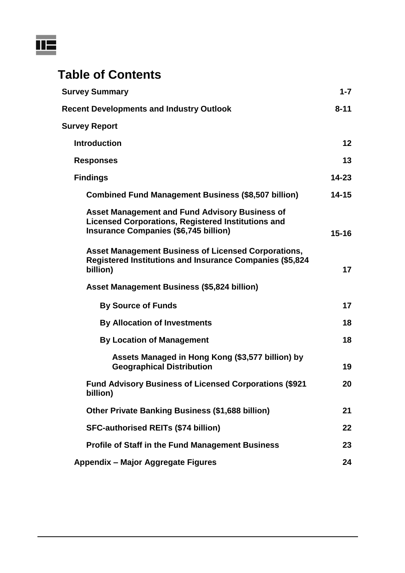

# **Table of Contents**

| <b>Survey Summary</b>                                                                                                                                              | $1 - 7$   |
|--------------------------------------------------------------------------------------------------------------------------------------------------------------------|-----------|
| <b>Recent Developments and Industry Outlook</b>                                                                                                                    | $8 - 11$  |
| <b>Survey Report</b>                                                                                                                                               |           |
| <b>Introduction</b>                                                                                                                                                | 12        |
| <b>Responses</b>                                                                                                                                                   | 13        |
| <b>Findings</b>                                                                                                                                                    | $14 - 23$ |
| <b>Combined Fund Management Business (\$8,507 billion)</b>                                                                                                         | $14 - 15$ |
| <b>Asset Management and Fund Advisory Business of</b><br><b>Licensed Corporations, Registered Institutions and</b><br><b>Insurance Companies (\$6,745 billion)</b> | $15 - 16$ |
| <b>Asset Management Business of Licensed Corporations,</b><br><b>Registered Institutions and Insurance Companies (\$5,824</b><br>billion)                          | 17        |
| <b>Asset Management Business (\$5,824 billion)</b>                                                                                                                 |           |
| <b>By Source of Funds</b>                                                                                                                                          | 17        |
| <b>By Allocation of Investments</b>                                                                                                                                | 18        |
| <b>By Location of Management</b>                                                                                                                                   | 18        |
| Assets Managed in Hong Kong (\$3,577 billion) by<br><b>Geographical Distribution</b>                                                                               | 19        |
| <b>Fund Advisory Business of Licensed Corporations (\$921</b><br>billion)                                                                                          | 20        |
| Other Private Banking Business (\$1,688 billion)                                                                                                                   | 21        |
| <b>SFC-authorised REITs (\$74 billion)</b>                                                                                                                         | 22        |
| <b>Profile of Staff in the Fund Management Business</b>                                                                                                            | 23        |
| Appendix - Major Aggregate Figures                                                                                                                                 | 24        |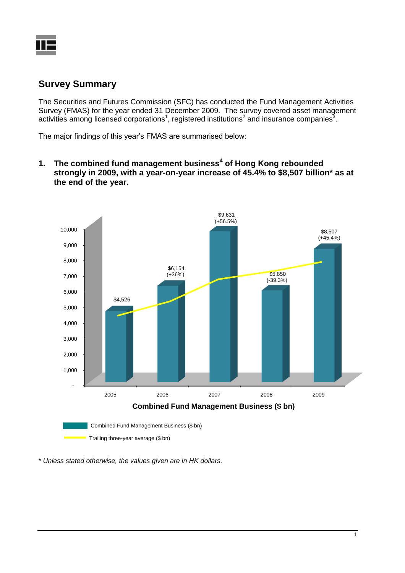

## **Survey Summary**

The Securities and Futures Commission (SFC) has conducted the Fund Management Activities Survey (FMAS) for the year ended 31 December 2009. The survey covered asset management activities among licensed corporations<sup>1</sup>, registered institutions<sup>2</sup> and insurance companies<sup>3</sup>.

<span id="page-2-2"></span><span id="page-2-1"></span><span id="page-2-0"></span>The major findings of this year's FMAS are summarised below:

**1. The combined fund management business<sup>4</sup> of Hong Kong rebounded strongly in 2009, with a year-on-year increase of 45.4% to \$8,507 billion\* as at the end of the year.**



\* *Unless stated otherwise, the values given are in HK dollars.*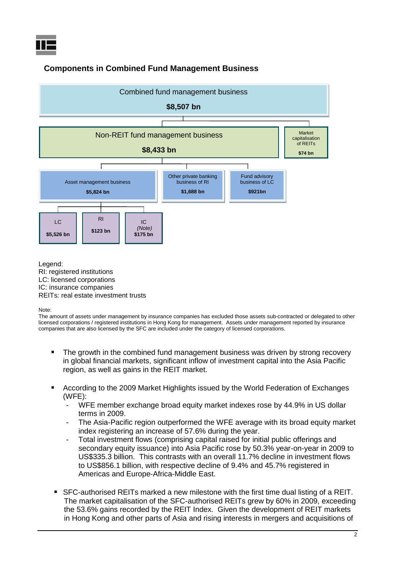

## **Components in Combined Fund Management Business**



Legend: RI: registered institutions LC: licensed corporations IC: insurance companies REITs: real estate investment trusts

Note:

The amount of assets under management by insurance companies has excluded those assets sub-contracted or delegated to other licensed corporations / registered institutions in Hong Kong for management. Assets under management reported by insurance companies that are also licensed by the SFC are included under the category of licensed corporations.

- **The growth in the combined fund management business was driven by strong recovery** in global financial markets, significant inflow of investment capital into the Asia Pacific region, as well as gains in the REIT market.
- According to the 2009 Market Highlights issued by the World Federation of Exchanges (WFE):
	- WFE member exchange broad equity market indexes rose by 44.9% in US dollar terms in 2009.
	- The Asia-Pacific region outperformed the WFE average with its broad equity market index registering an increase of 57.6% during the year.
	- Total investment flows (comprising capital raised for initial public offerings and secondary equity issuance) into Asia Pacific rose by 50.3% year-on-year in 2009 to US\$335.3 billion. This contrasts with an overall 11.7% decline in investment flows to US\$856.1 billion, with respective decline of 9.4% and 45.7% registered in Americas and Europe-Africa-Middle East.
- SFC-authorised REITs marked a new milestone with the first time dual listing of a REIT. The market capitalisation of the SFC-authorised REITs grew by 60% in 2009, exceeding the 53.6% gains recorded by the REIT Index. Given the development of REIT markets in Hong Kong and other parts of Asia and rising interests in mergers and acquisitions of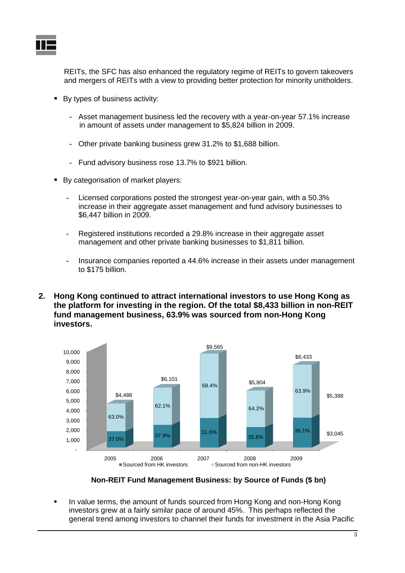

REITs, the SFC has also enhanced the regulatory regime of REITs to govern takeovers and mergers of REITs with a view to providing better protection for minority unitholders.

- By types of business activity:
	- Asset management business led the recovery with a year-on-year 57.1% increase in amount of assets under management to \$5,824 billion in 2009.
	- Other private banking business grew 31.2% to \$1,688 billion.
	- Fund advisory business rose 13.7% to \$921 billion.
- By categorisation of market players:
	- Licensed corporations posted the strongest year-on-year gain, with a 50.3% increase in their aggregate asset management and fund advisory businesses to \$6,447 billion in 2009.
	- Registered institutions recorded a 29.8% increase in their aggregate asset management and other private banking businesses to \$1,811 billion.
	- Insurance companies reported a 44.6% increase in their assets under management to \$175 billion.
- **2. Hong Kong continued to attract international investors to use Hong Kong as the platform for investing in the region. Of the total \$8,433 billion in non-REIT fund management business, 63.9% was sourced from non-Hong Kong investors.**



**Non-REIT Fund Management Business: by Source of Funds (\$ bn)**

 In value terms, the amount of funds sourced from Hong Kong and non-Hong Kong investors grew at a fairly similar pace of around 45%. This perhaps reflected the general trend among investors to channel their funds for investment in the Asia Pacific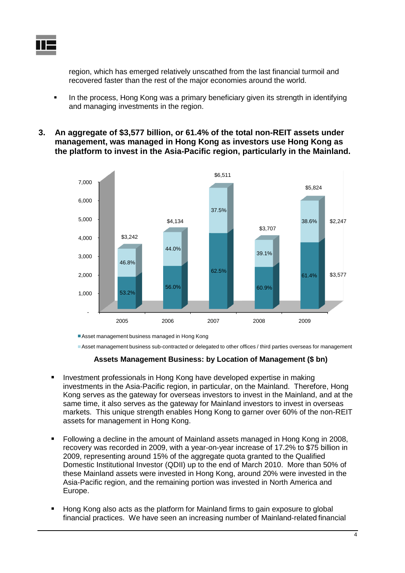region, which has emerged relatively unscathed from the last financial turmoil and recovered faster than the rest of the major economies around the world.

- In the process, Hong Kong was a primary beneficiary given its strength in identifying and managing investments in the region.
- **3. An aggregate of \$3,577 billion, or 61.4% of the total non-REIT assets under management, was managed in Hong Kong as investors use Hong Kong as the platform to invest in the Asia-Pacific region, particularly in the Mainland.**



Asset management business managed in Hong Kong

Asset management business sub-contracted or delegated to other offices / third parties overseas for management

#### **Assets Management Business: by Location of Management (\$ bn)**

- **Investment professionals in Hong Kong have developed expertise in making** investments in the Asia-Pacific region, in particular, on the Mainland. Therefore, Hong Kong serves as the gateway for overseas investors to invest in the Mainland, and at the same time, it also serves as the gateway for Mainland investors to invest in overseas markets. This unique strength enables Hong Kong to garner over 60% of the non-REIT assets for management in Hong Kong.
- Following a decline in the amount of Mainland assets managed in Hong Kong in 2008, recovery was recorded in 2009, with a year-on-year increase of 17.2% to \$75 billion in 2009, representing around 15% of the aggregate quota granted to the Qualified Domestic Institutional Investor (QDII) up to the end of March 2010. More than 50% of these Mainland assets were invested in Hong Kong, around 20% were invested in the Asia-Pacific region, and the remaining portion was invested in North America and Europe.
- Hong Kong also acts as the platform for Mainland firms to gain exposure to global financial practices. We have seen an increasing number of Mainland-related financial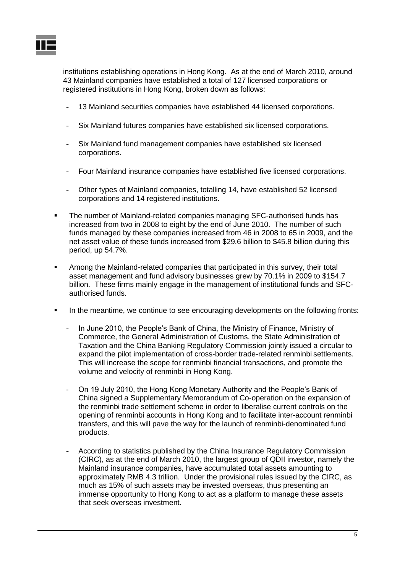

institutions establishing operations in Hong Kong. As at the end of March 2010, around 43 Mainland companies have established a total of 127 licensed corporations or registered institutions in Hong Kong, broken down as follows:

- 13 Mainland securities companies have established 44 licensed corporations.
- Six Mainland futures companies have established six licensed corporations.
- Six Mainland fund management companies have established six licensed corporations.
- Four Mainland insurance companies have established five licensed corporations.
- Other types of Mainland companies, totalling 14, have established 52 licensed corporations and 14 registered institutions.
- The number of Mainland-related companies managing SFC-authorised funds has increased from two in 2008 to eight by the end of June 2010. The number of such funds managed by these companies increased from 46 in 2008 to 65 in 2009, and the net asset value of these funds increased from \$29.6 billion to \$45.8 billion during this period, up 54.7%.
- Among the Mainland-related companies that participated in this survey, their total asset management and fund advisory businesses grew by 70.1% in 2009 to \$154.7 billion. These firms mainly engage in the management of institutional funds and SFCauthorised funds.
- In the meantime, we continue to see encouraging developments on the following fronts:
	- In June 2010, the People's Bank of China, the Ministry of Finance, Ministry of Commerce, the General Administration of Customs, the State Administration of Taxation and the China Banking Regulatory Commission jointly issued a circular to expand the pilot implementation of cross-border trade-related renminbi settlements. This will increase the scope for renminbi financial transactions, and promote the volume and velocity of renminbi in Hong Kong.
	- On 19 July 2010, the Hong Kong Monetary Authority and the People's Bank of China signed a Supplementary Memorandum of Co-operation on the expansion of the renminbi trade settlement scheme in order to liberalise current controls on the opening of renminbi accounts in Hong Kong and to facilitate inter-account renminbi transfers, and this will pave the way for the launch of renminbi-denominated fund products.
	- According to statistics published by the China Insurance Regulatory Commission (CIRC), as at the end of March 2010, the largest group of QDII investor, namely the Mainland insurance companies, have accumulated total assets amounting to approximately RMB 4.3 trillion. Under the provisional rules issued by the CIRC, as much as 15% of such assets may be invested overseas, thus presenting an immense opportunity to Hong Kong to act as a platform to manage these assets that seek overseas investment.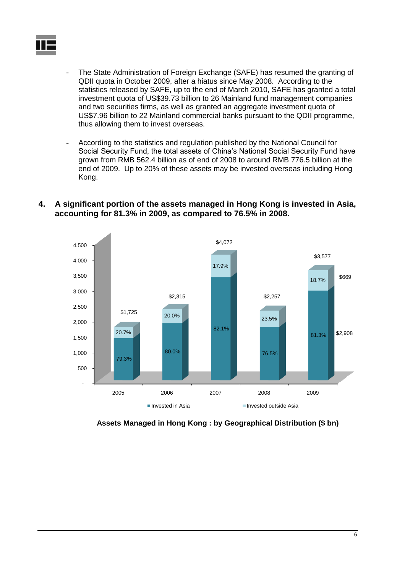

- The State Administration of Foreign Exchange (SAFE) has resumed the granting of QDII quota in October 2009, after a hiatus since May 2008. According to the statistics released by SAFE, up to the end of March 2010, SAFE has granted a total investment quota of US\$39.73 billion to 26 Mainland fund management companies and two securities firms, as well as granted an aggregate investment quota of US\$7.96 billion to 22 Mainland commercial banks pursuant to the QDII programme, thus allowing them to invest overseas.
- According to the statistics and regulation published by the National Council for Social Security Fund, the total assets of China's National Social Security Fund have grown from RMB 562.4 billion as of end of 2008 to around RMB 776.5 billion at the end of 2009. Up to 20% of these assets may be invested overseas including Hong Kong.





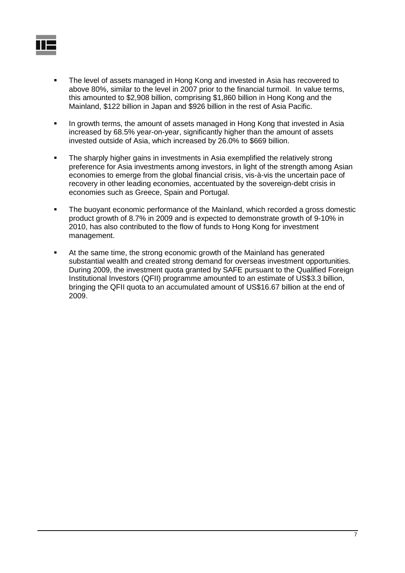- The level of assets managed in Hong Kong and invested in Asia has recovered to above 80%, similar to the level in 2007 prior to the financial turmoil. In value terms, this amounted to \$2,908 billion, comprising \$1,860 billion in Hong Kong and the Mainland, \$122 billion in Japan and \$926 billion in the rest of Asia Pacific.
- In growth terms, the amount of assets managed in Hong Kong that invested in Asia increased by 68.5% year-on-year, significantly higher than the amount of assets invested outside of Asia, which increased by 26.0% to \$669 billion.
- The sharply higher gains in investments in Asia exemplified the relatively strong preference for Asia investments among investors, in light of the strength among Asian economies to emerge from the global financial crisis, vis-à-vis the uncertain pace of recovery in other leading economies, accentuated by the sovereign-debt crisis in economies such as Greece, Spain and Portugal.
- The buoyant economic performance of the Mainland, which recorded a gross domestic product growth of 8.7% in 2009 and is expected to demonstrate growth of 9-10% in 2010, has also contributed to the flow of funds to Hong Kong for investment management.
- At the same time, the strong economic growth of the Mainland has generated substantial wealth and created strong demand for overseas investment opportunities. During 2009, the investment quota granted by SAFE pursuant to the Qualified Foreign Institutional Investors (QFII) programme amounted to an estimate of US\$3.3 billion, bringing the QFII quota to an accumulated amount of US\$16.67 billion at the end of 2009.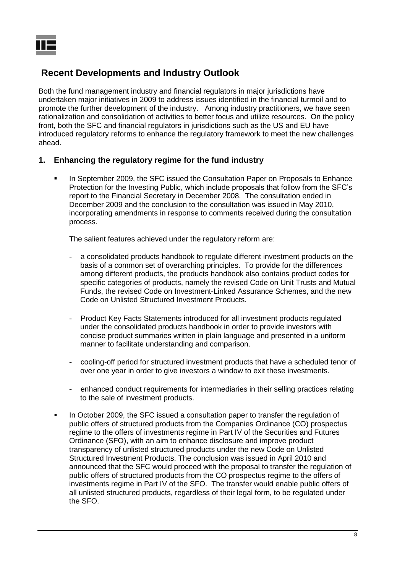# **Recent Developments and Industry Outlook**

Both the fund management industry and financial regulators in major jurisdictions have undertaken major initiatives in 2009 to address issues identified in the financial turmoil and to promote the further development of the industry. Among industry practitioners, we have seen rationalization and consolidation of activities to better focus and utilize resources. On the policy front, both the SFC and financial regulators in jurisdictions such as the US and EU have introduced regulatory reforms to enhance the regulatory framework to meet the new challenges ahead.

## **1. Enhancing the regulatory regime for the fund industry**

 In September 2009, the SFC issued the Consultation Paper on Proposals to Enhance Protection for the Investing Public, which include proposals that follow from the SFC's report to the Financial Secretary in December 2008. The consultation ended in December 2009 and the conclusion to the consultation was issued in May 2010, incorporating amendments in response to comments received during the consultation process.

The salient features achieved under the regulatory reform are:

- a consolidated products handbook to regulate different investment products on the basis of a common set of overarching principles. To provide for the differences among different products, the products handbook also contains product codes for specific categories of products, namely the revised Code on Unit Trusts and Mutual Funds, the revised Code on Investment-Linked Assurance Schemes, and the new Code on Unlisted Structured Investment Products.
- Product Key Facts Statements introduced for all investment products regulated under the consolidated products handbook in order to provide investors with concise product summaries written in plain language and presented in a uniform manner to facilitate understanding and comparison.
- cooling-off period for structured investment products that have a scheduled tenor of over one year in order to give investors a window to exit these investments.
- enhanced conduct requirements for intermediaries in their selling practices relating to the sale of investment products.
- In October 2009, the SFC issued a consultation paper to transfer the regulation of public offers of structured products from the Companies Ordinance (CO) prospectus regime to the offers of investments regime in Part IV of the Securities and Futures Ordinance (SFO), with an aim to enhance disclosure and improve product transparency of unlisted structured products under the new Code on Unlisted Structured Investment Products. The conclusion was issued in April 2010 and announced that the SFC would proceed with the proposal to transfer the regulation of public offers of structured products from the CO prospectus regime to the offers of investments regime in Part IV of the SFO. The transfer would enable public offers of all unlisted structured products, regardless of their legal form, to be regulated under the SFO.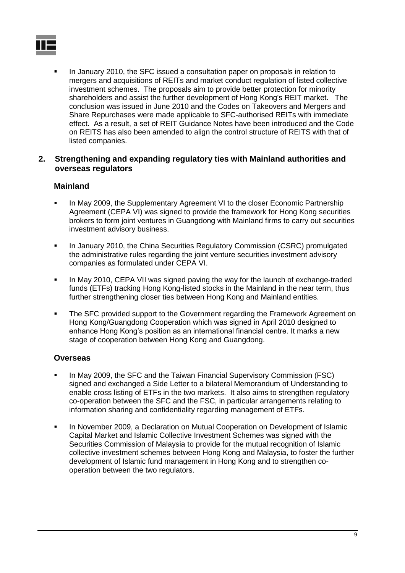

 In January 2010, the SFC issued a consultation paper on proposals in relation to mergers and acquisitions of REITs and market conduct regulation of listed collective investment schemes. The proposals aim to provide better protection for minority shareholders and assist the further development of Hong Kong's REIT market. The conclusion was issued in June 2010 and the Codes on Takeovers and Mergers and Share Repurchases were made applicable to SFC-authorised REITs with immediate effect. As a result, a set of REIT Guidance Notes have been introduced and the Code on REITS has also been amended to align the control structure of REITS with that of listed companies.

#### **2. Strengthening and expanding regulatory ties with Mainland authorities and overseas regulators**

## **Mainland**

- In May 2009, the Supplementary Agreement VI to the closer Economic Partnership Agreement (CEPA VI) was signed to provide the framework for Hong Kong securities brokers to form joint ventures in Guangdong with Mainland firms to carry out securities investment advisory business.
- **In January 2010, the China Securities Regulatory Commission (CSRC) promulgated** the administrative rules regarding the joint venture securities investment advisory companies as formulated under CEPA VI.
- In May 2010, CEPA VII was signed paving the way for the launch of exchange-traded funds (ETFs) tracking Hong Kong-listed stocks in the Mainland in the near term, thus further strengthening closer ties between Hong Kong and Mainland entities.
- **The SFC provided support to the Government regarding the Framework Agreement on** Hong Kong/Guangdong Cooperation which was signed in April 2010 designed to enhance Hong Kong's position as an international financial centre. It marks a new stage of cooperation between Hong Kong and Guangdong.

### **Overseas**

- In May 2009, the SFC and the Taiwan Financial Supervisory Commission (FSC) signed and exchanged a Side Letter to a bilateral Memorandum of Understanding to enable cross listing of ETFs in the two markets. It also aims to strengthen regulatory co-operation between the SFC and the FSC, in particular arrangements relating to information sharing and confidentiality regarding management of ETFs.
- **In November 2009, a Declaration on Mutual Cooperation on Development of Islamic** Capital Market and Islamic Collective Investment Schemes was signed with the Securities Commission of Malaysia to provide for the mutual recognition of Islamic collective investment schemes between Hong Kong and Malaysia, to foster the further development of Islamic fund management in Hong Kong and to strengthen cooperation between the two regulators.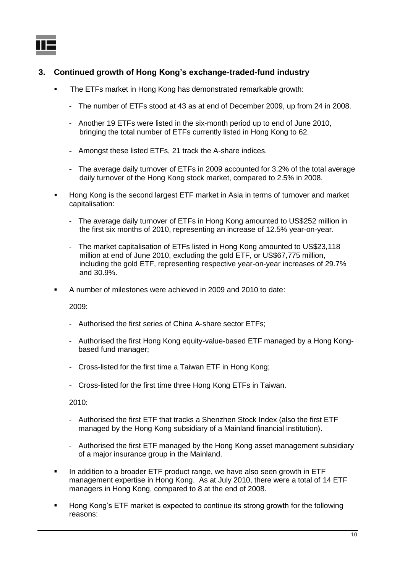## **3. Continued growth of Hong Kong's exchange-traded-fund industry**

- The ETFs market in Hong Kong has demonstrated remarkable growth:
	- The number of ETFs stood at 43 as at end of December 2009, up from 24 in 2008.
	- Another 19 ETFs were listed in the six-month period up to end of June 2010, bringing the total number of ETFs currently listed in Hong Kong to 62.
	- Amongst these listed ETFs, 21 track the A-share indices.
	- The average daily turnover of ETFs in 2009 accounted for 3.2% of the total average daily turnover of the Hong Kong stock market, compared to 2.5% in 2008.
- Hong Kong is the second largest ETF market in Asia in terms of turnover and market capitalisation:
	- The average daily turnover of ETFs in Hong Kong amounted to US\$252 million in the first six months of 2010, representing an increase of 12.5% year-on-year.
	- The market capitalisation of ETFs listed in Hong Kong amounted to US\$23,118 million at end of June 2010, excluding the gold ETF, or US\$67,775 million, including the gold ETF, representing respective year-on-year increases of 29.7% and 30.9%.
- A number of milestones were achieved in 2009 and 2010 to date:

2009:

- Authorised the first series of China A-share sector ETFs;
- Authorised the first Hong Kong equity-value-based ETF managed by a Hong Kongbased fund manager;
- Cross-listed for the first time a Taiwan ETF in Hong Kong;
- Cross-listed for the first time three Hong Kong ETFs in Taiwan.

2010:

- Authorised the first ETF that tracks a Shenzhen Stock Index (also the first ETF managed by the Hong Kong subsidiary of a Mainland financial institution).
- Authorised the first ETF managed by the Hong Kong asset management subsidiary of a major insurance group in the Mainland.
- In addition to a broader ETF product range, we have also seen growth in ETF management expertise in Hong Kong. As at July 2010, there were a total of 14 ETF managers in Hong Kong, compared to 8 at the end of 2008.
- Hong Kong's ETF market is expected to continue its strong growth for the following reasons: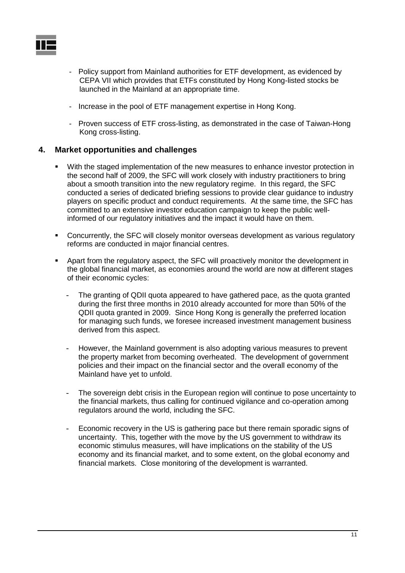

- Policy support from Mainland authorities for ETF development, as evidenced by CEPA VII which provides that ETFs constituted by Hong Kong-listed stocks be launched in the Mainland at an appropriate time.
- Increase in the pool of ETF management expertise in Hong Kong.
- Proven success of ETF cross-listing, as demonstrated in the case of Taiwan-Hong Kong cross-listing.

### **4. Market opportunities and challenges**

- With the staged implementation of the new measures to enhance investor protection in the second half of 2009, the SFC will work closely with industry practitioners to bring about a smooth transition into the new regulatory regime. In this regard, the SFC conducted a series of dedicated briefing sessions to provide clear guidance to industry players on specific product and conduct requirements. At the same time, the SFC has committed to an extensive investor education campaign to keep the public wellinformed of our regulatory initiatives and the impact it would have on them.
- Concurrently, the SFC will closely monitor overseas development as various regulatory reforms are conducted in major financial centres.
- Apart from the regulatory aspect, the SFC will proactively monitor the development in the global financial market, as economies around the world are now at different stages of their economic cycles:
	- The granting of QDII quota appeared to have gathered pace, as the quota granted during the first three months in 2010 already accounted for more than 50% of the QDII quota granted in 2009. Since Hong Kong is generally the preferred location for managing such funds, we foresee increased investment management business derived from this aspect.
	- However, the Mainland government is also adopting various measures to prevent the property market from becoming overheated. The development of government policies and their impact on the financial sector and the overall economy of the Mainland have yet to unfold.
	- The sovereign debt crisis in the European region will continue to pose uncertainty to the financial markets, thus calling for continued vigilance and co-operation among regulators around the world, including the SFC.
	- Economic recovery in the US is gathering pace but there remain sporadic signs of uncertainty. This, together with the move by the US government to withdraw its economic stimulus measures, will have implications on the stability of the US economy and its financial market, and to some extent, on the global economy and financial markets. Close monitoring of the development is warranted.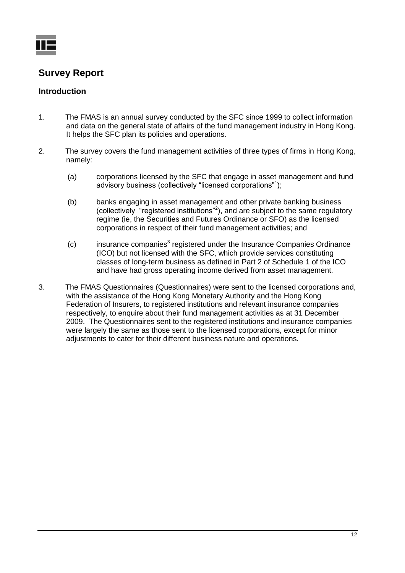

# **Survey Report**

## **Introduction**

- 1. The FMAS is an annual survey conducted by the SFC since 1999 to collect information and data on the general state of affairs of the fund management industry in Hong Kong. It helps the SFC plan its policies and operations.
- 2. The survey covers the fund management activities of three types of firms in Hong Kong, namely:
	- (a) corporations licensed by the SFC that engage in asset management and fund advisory business (collectively "licensed corporations"<sup>1</sup>[\)](#page-2-0);
	- (b) banks engaging in asset management and other private banking business (collectively "registered institutions"<sup>[2](#page-2-1)</sup>), and are subject to the same regulatory regime (ie, the Securities and Futures Ordinance or SFO) as the licensed corporations in respect of their fund management activities; and
	- $(c)$  in[s](#page-2-2)urance companies<sup>3</sup> registered under the Insurance Companies Ordinance (ICO) but not licensed with the SFC, which provide services constituting classes of long-term business as defined in Part 2 of Schedule 1 of the ICO and have had gross operating income derived from asset management.
- 3. The FMAS Questionnaires (Questionnaires) were sent to the licensed corporations and, with the assistance of the Hong Kong Monetary Authority and the Hong Kong Federation of Insurers, to registered institutions and relevant insurance companies respectively, to enquire about their fund management activities as at 31 December 2009. The Questionnaires sent to the registered institutions and insurance companies were largely the same as those sent to the licensed corporations, except for minor adjustments to cater for their different business nature and operations.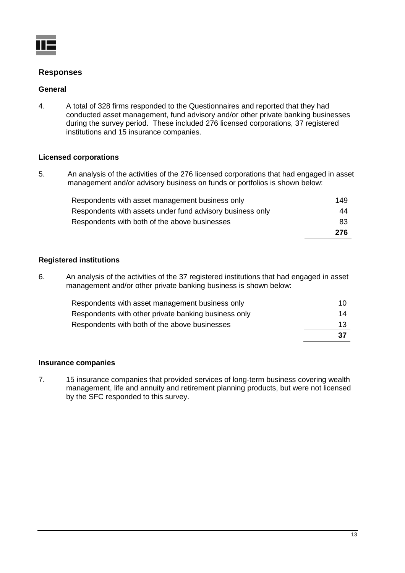

## **Responses**

#### **General**

4. A total of 328 firms responded to the Questionnaires and reported that they had conducted asset management, fund advisory and/or other private banking businesses during the survey period. These included 276 licensed corporations, 37 registered institutions and 15 insurance companies.

#### **Licensed corporations**

5. An analysis of the activities of the 276 licensed corporations that had engaged in asset management and/or advisory business on funds or portfolios is shown below:

| Respondents with asset management business only           | 149 |
|-----------------------------------------------------------|-----|
| Respondents with assets under fund advisory business only | 44  |
| Respondents with both of the above businesses             | 83  |
|                                                           | 276 |

#### **Registered institutions**

6. An analysis of the activities of the 37 registered institutions that had engaged in asset management and/or other private banking business is shown below:

| Respondents with asset management business only      | 10  |
|------------------------------------------------------|-----|
| Respondents with other private banking business only | 14  |
| Respondents with both of the above businesses        | 13  |
|                                                      | -37 |

#### **Insurance companies**

7. 15 insurance companies that provided services of long-term business covering wealth management, life and annuity and retirement planning products, but were not licensed by the SFC responded to this survey.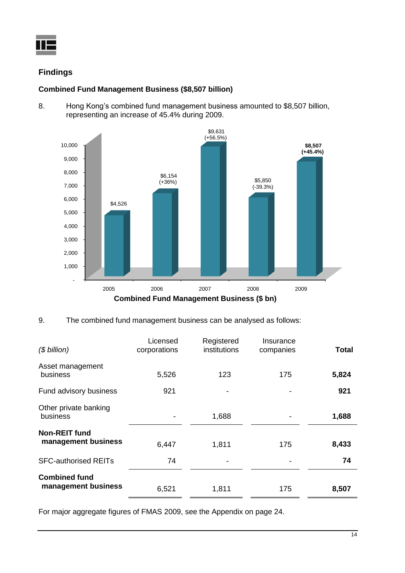

## **Findings**

## **Combined Fund Management Business (\$8,507 billion)**

8. Hong Kong's combined fund management business amounted to \$8,507 billion, representing an increase of 45.4% during 2009.



### 9. The combined fund management business can be analysed as follows:

| $($$ billion)                               | Licensed<br>corporations | Registered<br>institutions | Insurance<br>companies | Total |
|---------------------------------------------|--------------------------|----------------------------|------------------------|-------|
| Asset management<br>business                | 5,526                    | 123                        | 175                    |       |
| Fund advisory business                      | 921                      | $\overline{\phantom{a}}$   |                        | 921   |
| Other private banking<br>business           |                          | 1,688                      |                        | 1,688 |
| <b>Non-REIT fund</b><br>management business | 6,447                    | 1,811                      | 175                    | 8,433 |
| <b>SFC-authorised REITs</b>                 | 74                       | $\overline{\phantom{a}}$   |                        | 74    |
| <b>Combined fund</b><br>management business | 6,521                    | 1,811                      | 175                    | 8,507 |

For major aggregate figures of FMAS 2009, see the Appendix on page 24.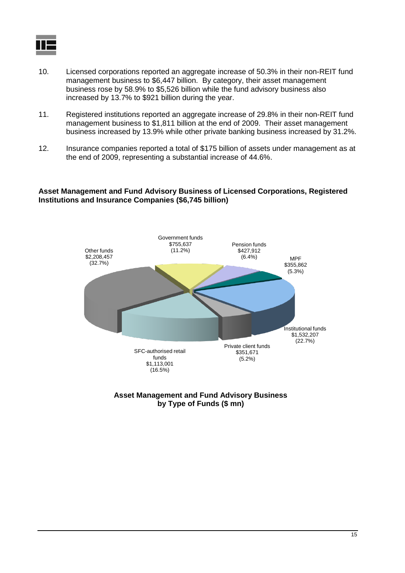

- 10. Licensed corporations reported an aggregate increase of 50.3% in their non-REIT fund management business to \$6,447 billion. By category, their asset management business rose by 58.9% to \$5,526 billion while the fund advisory business also increased by 13.7% to \$921 billion during the year.
- 11. Registered institutions reported an aggregate increase of 29.8% in their non-REIT fund management business to \$1,811 billion at the end of 2009. Their asset management business increased by 13.9% while other private banking business increased by 31.2%.
- 12. Insurance companies reported a total of \$175 billion of assets under management as at the end of 2009, representing a substantial increase of 44.6%.

#### **Asset Management and Fund Advisory Business of Licensed Corporations, Registered Institutions and Insurance Companies (\$6,745 billion)**



**Asset Management and Fund Advisory Business by Type of Funds (\$ mn)**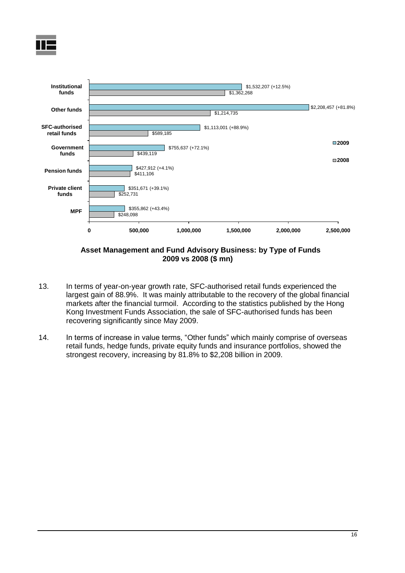



**Asset Management and Fund Advisory Business: by Type of Funds 2009 vs 2008 (\$ mn)**

- 13. In terms of year-on-year growth rate, SFC-authorised retail funds experienced the largest gain of 88.9%. It was mainly attributable to the recovery of the global financial markets after the financial turmoil. According to the statistics published by the Hong Kong Investment Funds Association, the sale of SFC-authorised funds has been recovering significantly since May 2009.
- 14. In terms of increase in value terms, "Other funds" which mainly comprise of overseas retail funds, hedge funds, private equity funds and insurance portfolios, showed the strongest recovery, increasing by 81.8% to \$2,208 billion in 2009.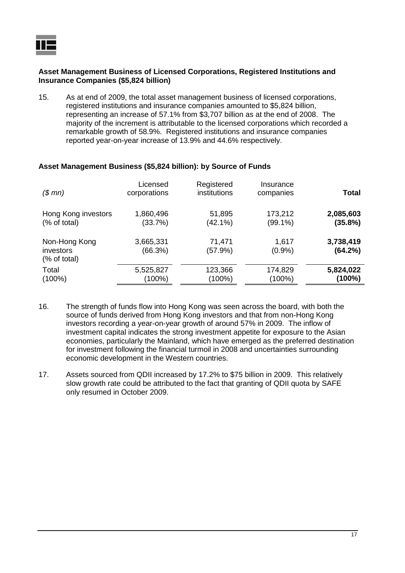#### **Asset Management Business of Licensed Corporations, Registered Institutions and Insurance Companies (\$5,824 billion)**

15. As at end of 2009, the total asset management business of licensed corporations, registered institutions and insurance companies amounted to \$5,824 billion, representing an increase of 57.1% from \$3,707 billion as at the end of 2008. The majority of the increment is attributable to the licensed corporations which recorded a remarkable growth of 58.9%. Registered institutions and insurance companies reported year-on-year increase of 13.9% and 44.6% respectively.

#### **Asset Management Business (\$5,824 billion): by Source of Funds**

| (\$mn)                                     | Licensed<br>corporations | Registered<br>institutions | Insurance<br>companies | <b>Total</b>         |
|--------------------------------------------|--------------------------|----------------------------|------------------------|----------------------|
| Hong Kong investors                        | 1,860,496                | 51,895                     | 173,212                | 2,085,603            |
| (% of total)                               | (33.7%)                  | $(42.1\%)$                 | (99.1%)                | (35.8%)              |
| Non-Hong Kong<br>investors<br>(% of total) | 3,665,331<br>(66.3%)     | 71,471<br>(57.9%)          | 1,617<br>$(0.9\%)$     | 3,738,419<br>(64.2%) |
| Total                                      | 5,525,827                | 123,366                    | 174,829                | 5,824,022            |
| $(100\%)$                                  | (100%)                   | (100%)                     | $(100\%)$              | (100%)               |

- 16. The strength of funds flow into Hong Kong was seen across the board, with both the source of funds derived from Hong Kong investors and that from non-Hong Kong investors recording a year-on-year growth of around 57% in 2009. The inflow of investment capital indicates the strong investment appetite for exposure to the Asian economies, particularly the Mainland, which have emerged as the preferred destination for investment following the financial turmoil in 2008 and uncertainties surrounding economic development in the Western countries.
- 17. Assets sourced from QDII increased by 17.2% to \$75 billion in 2009. This relatively slow growth rate could be attributed to the fact that granting of QDII quota by SAFE only resumed in October 2009.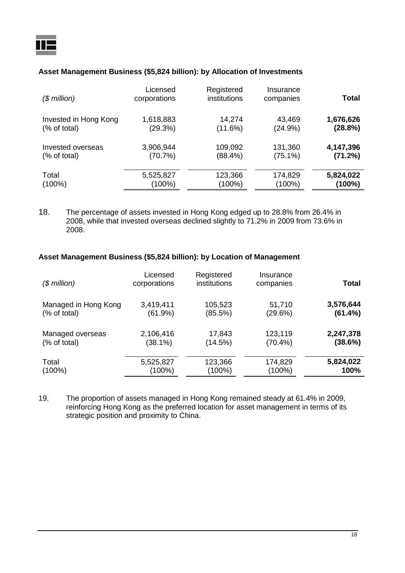## **Asset Management Business (\$5,824 billion): by Allocation of Investments**

| $($$ million $)$      | Licensed<br>corporations | Registered<br>institutions | Insurance<br>companies | Total     |
|-----------------------|--------------------------|----------------------------|------------------------|-----------|
| Invested in Hong Kong | 1,618,883                | 14,274                     | 43,469                 | 1,676,626 |
| (% of total)          | (29.3%)                  | (11.6%)                    | (24.9%)                | (28.8%)   |
| Invested overseas     | 3,906,944                | 109,092                    | 131,360                | 4,147,396 |
| (% of total)          | (70.7%)                  | (88.4%)                    | $(75.1\%)$             | (71.2%)   |
| Total                 | 5,525,827                | 123,366                    | 174,829                | 5,824,022 |
| $(100\%)$             | (100%)                   | (100%)                     | (100%)                 | (100%)    |

18. The percentage of assets invested in Hong Kong edged up to 28.8% from 26.4% in 2008, while that invested overseas declined slightly to 71.2% in 2009 from 73.6% in 2008.

#### **Asset Management Business (\$5,824 billion): by Location of Management**

| $($$ million)        | Licensed<br>corporations | Registered<br>institutions | Insurance<br>companies | <b>Total</b> |
|----------------------|--------------------------|----------------------------|------------------------|--------------|
| Managed in Hong Kong | 3,419,411                | 105,523                    | 51,710                 | 3,576,644    |
| (% of total)         | (61.9%)                  | (85.5%)                    | (29.6%)                | (61.4%)      |
| Managed overseas     | 2,106,416                | 17,843                     | 123,119                | 2,247,378    |
| (% of total)         | (38.1%)                  | (14.5%)                    | $(70.4\%)$             | (38.6%)      |
| Total                | 5,525,827                | 123,366                    | 174,829                | 5,824,022    |
| $(100\%)$            | (100%)                   | $(100\%)$                  | $(100\%)$              | 100%         |

19. The proportion of assets managed in Hong Kong remained steady at 61.4% in 2009, reinforcing Hong Kong as the preferred location for asset management in terms of its strategic position and proximity to China.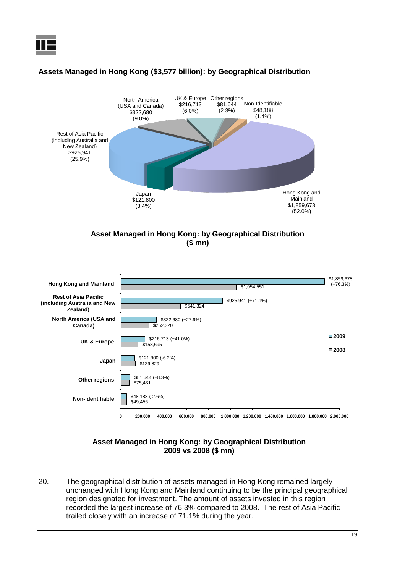



#### **Assets Managed in Hong Kong (\$3,577 billion): by Geographical Distribution**





#### **Asset Managed in Hong Kong: by Geographical Distribution 2009 vs 2008 (\$ mn)**

20. The geographical distribution of assets managed in Hong Kong remained largely unchanged with Hong Kong and Mainland continuing to be the principal geographical region designated for investment. The amount of assets invested in this region recorded the largest increase of 76.3% compared to 2008. The rest of Asia Pacific trailed closely with an increase of 71.1% during the year.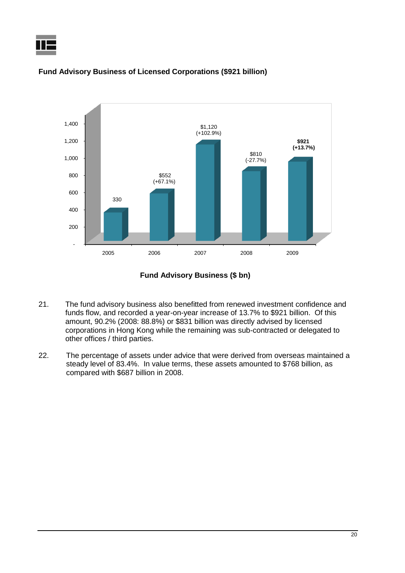



#### **Fund Advisory Business of Licensed Corporations (\$921 billion)**



- 21. The fund advisory business also benefitted from renewed investment confidence and funds flow, and recorded a year-on-year increase of 13.7% to \$921 billion. Of this amount, 90.2% (2008: 88.8%) or \$831 billion was directly advised by licensed corporations in Hong Kong while the remaining was sub-contracted or delegated to other offices / third parties.
- 22. The percentage of assets under advice that were derived from overseas maintained a steady level of 83.4%. In value terms, these assets amounted to \$768 billion, as compared with \$687 billion in 2008.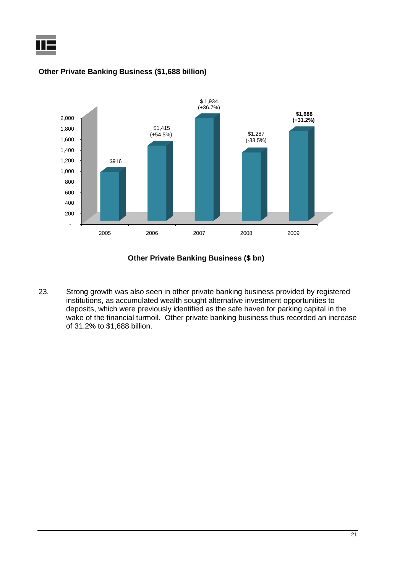



#### **Other Private Banking Business (\$1,688 billion)**

#### **Other Private Banking Business (\$ bn)**

23. Strong growth was also seen in other private banking business provided by registered institutions, as accumulated wealth sought alternative investment opportunities to deposits, which were previously identified as the safe haven for parking capital in the wake of the financial turmoil. Other private banking business thus recorded an increase of 31.2% to \$1,688 billion.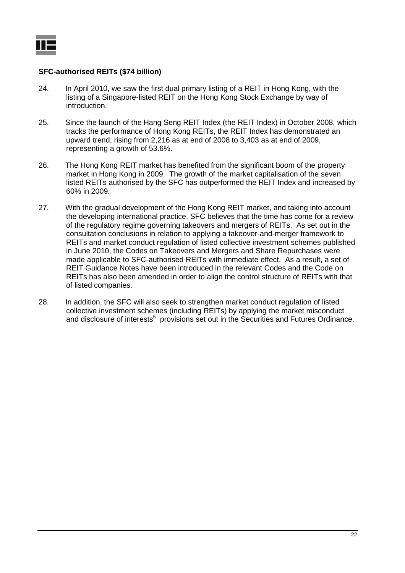#### **SFC-authorised REITs (\$74 billion)**

- 24. In April 2010, we saw the first dual primary listing of a REIT in Hong Kong, with the listing of a Singapore-listed REIT on the Hong Kong Stock Exchange by way of introduction.
- 25. Since the launch of the Hang Seng REIT Index (the REIT Index) in October 2008, which tracks the performance of Hong Kong REITs, the REIT Index has demonstrated an upward trend, rising from 2,216 as at end of 2008 to 3,403 as at end of 2009, representing a growth of 53.6%.
- 26. The Hong Kong REIT market has benefited from the significant boom of the property market in Hong Kong in 2009. The growth of the market capitalisation of the seven listed REITs authorised by the SFC has outperformed the REIT Index and increased by 60% in 2009.
- 27. With the gradual development of the Hong Kong REIT market, and taking into account the developing international practice, SFC believes that the time has come for a review of the regulatory regime governing takeovers and mergers of REITs. As set out in the consultation conclusions in relation to applying a takeover-and-merger framework to REITs and market conduct regulation of listed collective investment schemes published in June 2010, the Codes on Takeovers and Mergers and Share Repurchases were made applicable to SFC-authorised REITs with immediate effect. As a result, a set of REIT Guidance Notes have been introduced in the relevant Codes and the Code on REITs has also been amended in order to align the control structure of REITs with that of listed companies.
- 28. In addition, the SFC will also seek to strengthen market conduct regulation of listed collective investment schemes (including REITs) by applying the market misconduct and disclosure of interests<sup>5</sup> provisions set out in the Securities and Futures Ordinance.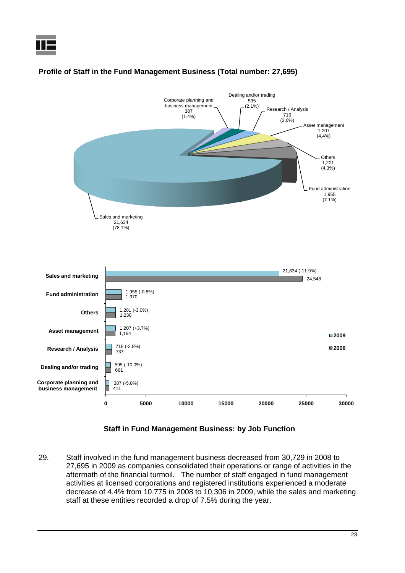

## **Profile of Staff in the Fund Management Business (Total number: 27,695)**

### **Staff in Fund Management Business: by Job Function**

29. Staff involved in the fund management business decreased from 30,729 in 2008 to 27,695 in 2009 as companies consolidated their operations or range of activities in the aftermath of the financial turmoil. The number of staff engaged in fund management activities at licensed corporations and registered institutions experienced a moderate decrease of 4.4% from 10,775 in 2008 to 10,306 in 2009, while the sales and marketing staff at these entities recorded a drop of 7.5% during the year.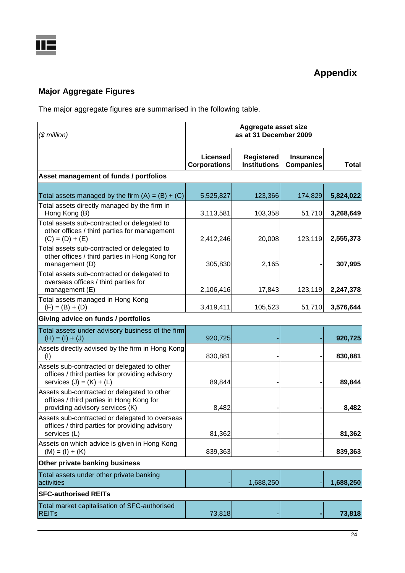# **Major Aggregate Figures**

The major aggregate figures are summarised in the following table.

| $$$ million)                                                                                                                | Aggregate asset size<br>as at 31 December 2009 |                                          |                                      |              |
|-----------------------------------------------------------------------------------------------------------------------------|------------------------------------------------|------------------------------------------|--------------------------------------|--------------|
|                                                                                                                             | Licensed<br><b>Corporations</b>                | <b>Registered</b><br><b>Institutions</b> | <b>Insurance</b><br><b>Companies</b> | <b>Total</b> |
| Asset management of funds / portfolios                                                                                      |                                                |                                          |                                      |              |
| Total assets managed by the firm $(A) = (B) + (C)$                                                                          | 5,525,827                                      | 123,366                                  | 174,829                              | 5,824,022    |
| Total assets directly managed by the firm in<br>Hong Kong (B)                                                               | 3,113,581                                      | 103,358                                  | 51,710                               | 3,268,649    |
| Total assets sub-contracted or delegated to<br>other offices / third parties for management<br>$(C) = (D) + (E)$            | 2,412,246                                      | 20,008                                   | 123,119                              | 2,555,373    |
| Total assets sub-contracted or delegated to<br>other offices / third parties in Hong Kong for<br>management (D)             | 305,830                                        | 2,165                                    |                                      | 307,995      |
| Total assets sub-contracted or delegated to<br>overseas offices / third parties for<br>management (E)                       | 2,106,416                                      | 17,843                                   | 123,119                              | 2,247,378    |
| Total assets managed in Hong Kong<br>$(F) = (B) + (D)$                                                                      | 3,419,411                                      | 105,523                                  | 51,710                               | 3,576,644    |
| Giving advice on funds / portfolios                                                                                         |                                                |                                          |                                      |              |
| Total assets under advisory business of the firm<br>$(H) = (I) + (J)$                                                       | 920,725                                        |                                          |                                      | 920,725      |
| Assets directly advised by the firm in Hong Kong<br>(1)                                                                     | 830,881                                        |                                          |                                      | 830,881      |
| Assets sub-contracted or delegated to other<br>offices / third parties for providing advisory<br>services $(J) = (K) + (L)$ | 89,844                                         |                                          |                                      | 89,844       |
| Assets sub-contracted or delegated to other<br>offices / third parties in Hong Kong for<br>providing advisory services (K)  | 8,482                                          |                                          |                                      | 8,482        |
| Assets sub-contracted or delegated to overseas<br>offices / third parties for providing advisory<br>services (L)            | 81,362                                         |                                          |                                      | 81,362       |
| Assets on which advice is given in Hong Kong<br>$(M) = (I) + (K)$                                                           | 839,363                                        |                                          |                                      | 839,363      |
| Other private banking business                                                                                              |                                                |                                          |                                      |              |
| Total assets under other private banking<br>activities                                                                      |                                                | 1,688,250                                |                                      | 1,688,250    |
| <b>SFC-authorised REITs</b>                                                                                                 |                                                |                                          |                                      |              |
| Total market capitalisation of SFC-authorised<br><b>REITs</b>                                                               | 73,818                                         |                                          |                                      | 73,818       |